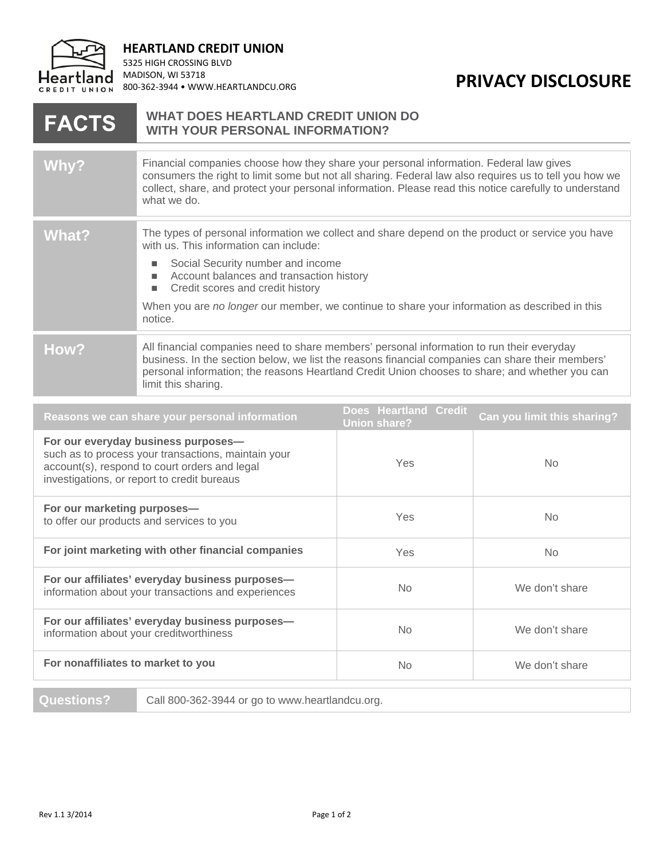

**HEARTLAND CREDIT UNION**

5325 HIGH CROSSING BLVD MADISON, WI 53718

## 800-362-3944 • WWW.HEARTLANDCU.ORG **PRIVACY DISCLOSURE**

## **WHAT DOES HEARTLAND CREDIT UNION DO FACTS WITH YOUR PERSONAL INFORMATION?** Why? Financial companies choose how they share your personal information. Federal law gives consumers the right to limit some but not all sharing. Federal law also requires us to tell you how we collect, share, and protect your personal information. Please read this notice carefully to understand what we do. What? The types of personal information we collect and share depend on the product or service you have with us. This information can include: ■ Social Security number and income ■ Account balances and transaction history ■ Credit scores and credit history When you are *no longer* our member, we continue to share your information as described in this notice. **How?** All financial companies need to share members' personal information to run their everyday business. In the section below, we list the reasons financial companies can share their members' personal information; the reasons Heartland Credit Union chooses to share; and whether you can limit this sharing.

|                                                                                                                                                                                            | Reasons we can share your personal information | <b>Does Heartland Credit</b><br><b>Union share?</b> | Can you limit this sharing? |
|--------------------------------------------------------------------------------------------------------------------------------------------------------------------------------------------|------------------------------------------------|-----------------------------------------------------|-----------------------------|
| For our everyday business purposes-<br>such as to process your transactions, maintain your<br>account(s), respond to court orders and legal<br>investigations, or report to credit bureaus |                                                | <b>Yes</b>                                          | No.                         |
| For our marketing purposes-<br>to offer our products and services to you                                                                                                                   |                                                | <b>Yes</b>                                          | N <sub>o</sub>              |
| For joint marketing with other financial companies                                                                                                                                         |                                                | <b>Yes</b>                                          | N <sub>o</sub>              |
| For our affiliates' everyday business purposes-<br>information about your transactions and experiences                                                                                     |                                                | No.                                                 | We don't share              |
| For our affiliates' everyday business purposes-<br>information about your creditworthiness                                                                                                 |                                                | No.                                                 | We don't share              |
| For nonaffiliates to market to you                                                                                                                                                         |                                                | No.                                                 | We don't share              |
| <b>Questions?</b><br>Call 800-362-3944 or go to www.heartlandcu.org.                                                                                                                       |                                                |                                                     |                             |